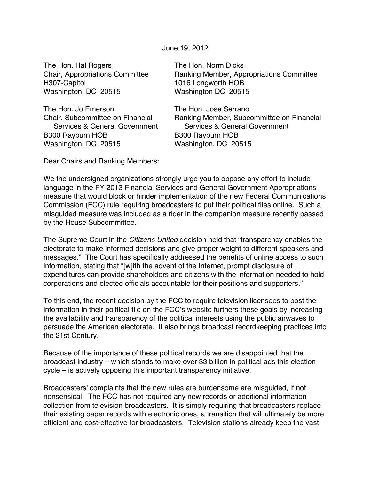June 19, 2012

The Hon. Hal Rogers The Hon. Norm Dicks H307-Capitol 1016 Longworth HOB Washington, DC 20515 Washington DC 20515

The Hon. Jo Emerson The Hon. Jose Serrano B300 Rayburn HOB B300 Rayburn HOB Washington, DC 20515 Washington, DC 20515

Chair, Appropriations Committee Ranking Member, Appropriations Committee

Chair, Subcommittee on Financial Ranking Member, Subcommittee on Financial Services & General Government Services & General Government

Dear Chairs and Ranking Members:

We the undersigned organizations strongly urge you to oppose any effort to include language in the FY 2013 Financial Services and General Government Appropriations measure that would block or hinder implementation of the new Federal Communications Commission (FCC) rule requiring broadcasters to put their political files online. Such a misguided measure was included as a rider in the companion measure recently passed by the House Subcommittee.

The Supreme Court in the *Citizens United* decision held that "transparency enables the electorate to make informed decisions and give proper weight to different speakers and messages." The Court has specifically addressed the benefits of online access to such information, stating that "[w]ith the advent of the Internet, prompt disclosure of expenditures can provide shareholders and citizens with the information needed to hold corporations and elected officials accountable for their positions and supporters."

To this end, the recent decision by the FCC to require television licensees to post the information in their political file on the FCC's website furthers these goals by increasing the availability and transparency of the political interests using the public airwaves to persuade the American electorate. It also brings broadcast recordkeeping practices into the 21st Century.

Because of the importance of these political records we are disappointed that the broadcast industry – which stands to make over \$3 billion in political ads this election cycle – is actively opposing this important transparency initiative.

Broadcasters' complaints that the new rules are burdensome are misguided, if not nonsensical. The FCC has not required any new records or additional information collection from television broadcasters. It is simply requiring that broadcasters replace their existing paper records with electronic ones, a transition that will ultimately be more efficient and cost-effective for broadcasters. Television stations already keep the vast